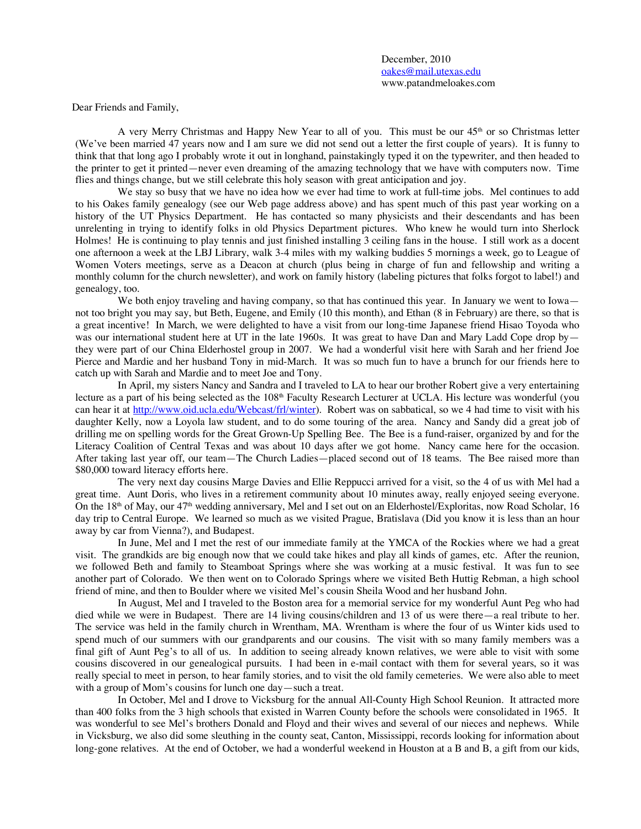December, 2010 oakes@mail.utexas.edu www.patandmeloakes.com

Dear Friends and Family,

A very Merry Christmas and Happy New Year to all of you. This must be our 45<sup>th</sup> or so Christmas letter (We've been married 47 years now and I am sure we did not send out a letter the first couple of years). It is funny to think that that long ago I probably wrote it out in longhand, painstakingly typed it on the typewriter, and then headed to the printer to get it printed—never even dreaming of the amazing technology that we have with computers now. Time flies and things change, but we still celebrate this holy season with great anticipation and joy.

We stay so busy that we have no idea how we ever had time to work at full-time jobs. Mel continues to add to his Oakes family genealogy (see our Web page address above) and has spent much of this past year working on a history of the UT Physics Department. He has contacted so many physicists and their descendants and has been unrelenting in trying to identify folks in old Physics Department pictures. Who knew he would turn into Sherlock Holmes! He is continuing to play tennis and just finished installing 3 ceiling fans in the house. I still work as a docent one afternoon a week at the LBJ Library, walk 3-4 miles with my walking buddies 5 mornings a week, go to League of Women Voters meetings, serve as a Deacon at church (plus being in charge of fun and fellowship and writing a monthly column for the church newsletter), and work on family history (labeling pictures that folks forgot to label!) and genealogy, too.

We both enjoy traveling and having company, so that has continued this year. In January we went to Iowa not too bright you may say, but Beth, Eugene, and Emily (10 this month), and Ethan (8 in February) are there, so that is a great incentive! In March, we were delighted to have a visit from our long-time Japanese friend Hisao Toyoda who was our international student here at UT in the late 1960s. It was great to have Dan and Mary Ladd Cope drop by they were part of our China Elderhostel group in 2007. We had a wonderful visit here with Sarah and her friend Joe Pierce and Mardie and her husband Tony in mid-March. It was so much fun to have a brunch for our friends here to catch up with Sarah and Mardie and to meet Joe and Tony.

In April, my sisters Nancy and Sandra and I traveled to LA to hear our brother Robert give a very entertaining lecture as a part of his being selected as the 108<sup>th</sup> Faculty Research Lecturer at UCLA. His lecture was wonderful (you can hear it at http://www.oid.ucla.edu/Webcast/frl/winter). Robert was on sabbatical, so we 4 had time to visit with his daughter Kelly, now a Loyola law student, and to do some touring of the area. Nancy and Sandy did a great job of drilling me on spelling words for the Great Grown-Up Spelling Bee. The Bee is a fund-raiser, organized by and for the Literacy Coalition of Central Texas and was about 10 days after we got home. Nancy came here for the occasion. After taking last year off, our team—The Church Ladies—placed second out of 18 teams. The Bee raised more than \$80,000 toward literacy efforts here.

The very next day cousins Marge Davies and Ellie Reppucci arrived for a visit, so the 4 of us with Mel had a great time. Aunt Doris, who lives in a retirement community about 10 minutes away, really enjoyed seeing everyone. On the 18<sup>th</sup> of May, our  $47<sup>th</sup>$  wedding anniversary, Mel and I set out on an Elderhostel/Exploritas, now Road Scholar, 16 day trip to Central Europe. We learned so much as we visited Prague, Bratislava (Did you know it is less than an hour away by car from Vienna?), and Budapest.

In June, Mel and I met the rest of our immediate family at the YMCA of the Rockies where we had a great visit. The grandkids are big enough now that we could take hikes and play all kinds of games, etc. After the reunion, we followed Beth and family to Steamboat Springs where she was working at a music festival. It was fun to see another part of Colorado. We then went on to Colorado Springs where we visited Beth Huttig Rebman, a high school friend of mine, and then to Boulder where we visited Mel's cousin Sheila Wood and her husband John.

In August, Mel and I traveled to the Boston area for a memorial service for my wonderful Aunt Peg who had died while we were in Budapest. There are 14 living cousins/children and 13 of us were there—a real tribute to her. The service was held in the family church in Wrentham, MA. Wrentham is where the four of us Winter kids used to spend much of our summers with our grandparents and our cousins. The visit with so many family members was a final gift of Aunt Peg's to all of us. In addition to seeing already known relatives, we were able to visit with some cousins discovered in our genealogical pursuits. I had been in e-mail contact with them for several years, so it was really special to meet in person, to hear family stories, and to visit the old family cemeteries. We were also able to meet with a group of Mom's cousins for lunch one day—such a treat.

In October, Mel and I drove to Vicksburg for the annual All-County High School Reunion. It attracted more than 400 folks from the 3 high schools that existed in Warren County before the schools were consolidated in 1965. It was wonderful to see Mel's brothers Donald and Floyd and their wives and several of our nieces and nephews. While in Vicksburg, we also did some sleuthing in the county seat, Canton, Mississippi, records looking for information about long-gone relatives. At the end of October, we had a wonderful weekend in Houston at a B and B, a gift from our kids,